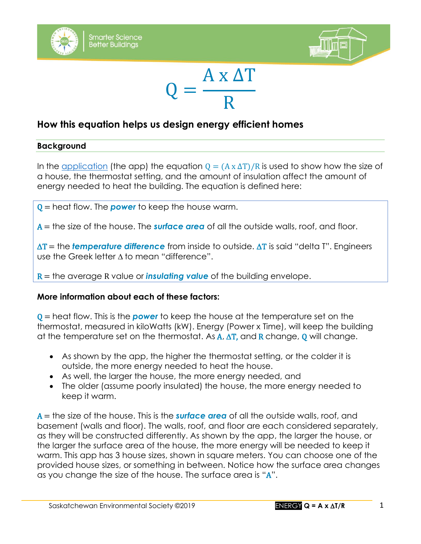





# **How this equation helps us design energy efficient homes**

#### **Background**

In the [application](http://environmentalsociety.ca/smarterscience2018/index2.html) (the app) the equation  $Q = (A \times \Delta T)/R$  is used to show how the size of a house, the thermostat setting, and the amount of insulation affect the amount of energy needed to heat the building. The equation is defined here:

Q = heat flow. The *power* to keep the house warm.

A = the size of the house. The *surface area* of all the outside walls, roof, and floor.

 $\Delta T$  = the **temperature difference** from inside to outside.  $\Delta T$  is said "delta T". Engineers use the Greek letter  $\Lambda$  to mean "difference".

R = the average R value or *insulating value* of the building envelope.

## **More information about each of these factors:**

Q = heat flow. This is the *power* to keep the house at the temperature set on the thermostat, measured in kiloWatts (kW). Energy (Power x Time), will keep the building at the temperature set on the thermostat. As  $\mathbf{A}, \Delta \mathbf{T}$ , and **R** change, **Q** will change.

- As shown by the app, the higher the thermostat setting, or the colder it is outside, the more energy needed to heat the house.
- As well, the larger the house, the more energy needed, and
- The older (assume poorly insulated) the house, the more energy needed to keep it warm.

A = the size of the house. This is the *surface area* of all the outside walls, roof, and basement (walls and floor). The walls, roof, and floor are each considered separately, as they will be constructed differently. As shown by the app, the larger the house, or the larger the surface area of the house, the more energy will be needed to keep it warm. This app has 3 house sizes, shown in square meters. You can choose one of the provided house sizes, or something in between. Notice how the surface area changes as you change the size of the house. The surface area is "A".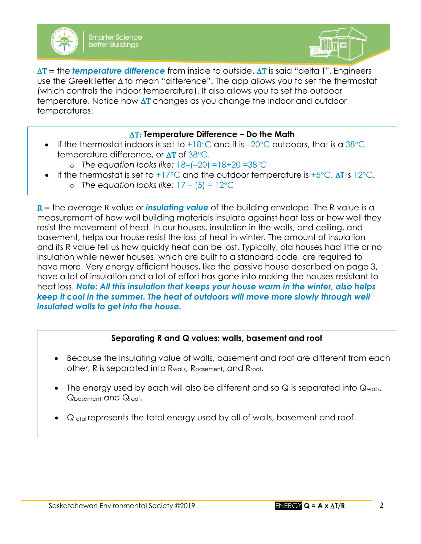



 $\Delta T$  = the **temperature difference** from inside to outside.  $\Delta T$  is said "delta T". Engineers use the Greek letter  $\Delta$  to mean "difference". The app allows you to set the thermostat (which controls the indoor temperature). It also allows you to set the outdoor temperature. Notice how  $\Delta T$  changes as you change the indoor and outdoor temperatures.

## T: **Temperature Difference – Do the Math**

- If the thermostat indoors is set to +18°C and it is  $-20$ °C outdoors, that is a 38°C temperature difference, or  $\Delta T$  of  $38^{\circ}$ C.
	- o *The equation looks like:* 18−(−20) =18+20 =38*C*
- If the thermostat is set to  $+17^{\circ}$ C and the outdoor temperature is  $+5^{\circ}$ C, AT is 12<sup>°</sup>C.
	- o *The equation looks like:* 17 − (5) = 12C

R = the average R value or *insulating value* of the building envelope. The R value is a measurement of how well building materials insulate against heat loss or how well they resist the movement of heat. In our houses, insulation in the walls, and ceiling, and basement, helps our house resist the loss of heat in winter. The amount of insulation and its R value tell us how quickly heat can be lost. Typically, old houses had little or no insulation while newer houses, which are built to a standard code, are required to have more. Very energy efficient houses, like the passive house described on page 3, have a lot of insulation and a lot of effort has gone into making the houses resistant to heat loss. *Note: All this insulation that keeps your house warm in the winter, also helps keep it cool in the summer. The heat of outdoors will move more slowly through well insulated walls to get into the house.*

# **Separating R and Q values: walls, basement and roof**

- Because the insulating value of walls, basement and roof are different from each other, R is separated into Rwalls, Rbasement, and Rroof.
- The energy used by each will also be different and so  $Q$  is separated into  $Q_{\text{walk}}$ , Qbasement and Qroof.
- $\mathsf{Q}_{\mathsf{total}}$  represents the total energy used by all of walls, basement and roof.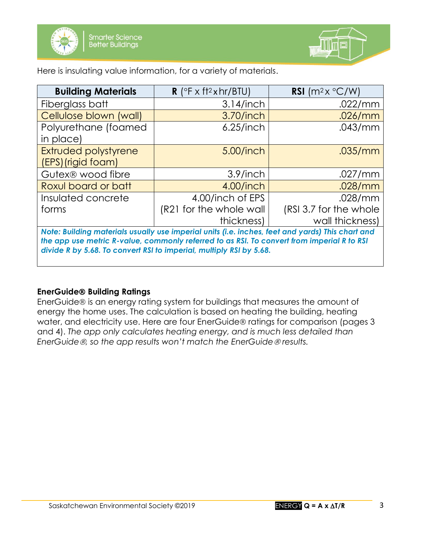



Here is insulating value information, for a variety of materials.

| <b>Building Materials</b>                                                                      | <b>R</b> ( $\circ$ F x ft <sup>2</sup> x hr/BTU) | RSI $(m^2x \,^{\circ}C/W)$ |
|------------------------------------------------------------------------------------------------|--------------------------------------------------|----------------------------|
| Fiberglass batt                                                                                | $3.14$ /inch                                     | .022/mm                    |
| Cellulose blown (wall)                                                                         | 3.70/inch                                        | .026/mm                    |
| Polyurethane (foamed<br>in place)                                                              | $6.25$ /inch                                     | .043/mm                    |
| Extruded polystyrene                                                                           | 5.00/inch                                        | .035/mm                    |
| (EPS)(rigid foam)                                                                              |                                                  |                            |
| Gutex <sup>®</sup> wood fibre                                                                  | $3.9/$ inch                                      | .027/mm                    |
| Roxul board or batt                                                                            | 4.00/inch                                        | .028/mm                    |
| Insulated concrete                                                                             | 4.00/inch of EPS                                 | .028/mm                    |
| forms                                                                                          | (R21 for the whole wall                          | (RSI 3.7 for the whole     |
|                                                                                                | thickness)                                       | wall thickness)            |
| Nata: Building materials usually use imperial units fig. inches feet and vards) This chart and |                                                  |                            |

*Note: Building materials usually use imperial units (i.e. inches, feet and yards) This chart and the app use metric R-value, commonly referred to as RSI. To convert from imperial R to RSI divide R by 5.68. To convert RSI to imperial, multiply RSI by 5.68.*

## **EnerGuide Building Ratings**

EnerGuide<sup>®</sup> is an energy rating system for buildings that measures the amount of energy the home uses. The calculation is based on heating the building, heating water, and electricity use. Here are four EnerGuide® ratings for comparison (pages 3 and 4). *The app only calculates heating energy, and is much less detailed than EnerGuide*  $\&$ , so the app results won't match the EnerGuide  $\&$  results.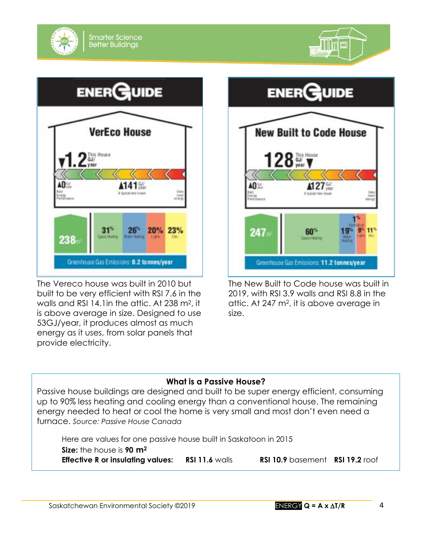





The Vereco house was built in 2010 but built to be very efficient with RSI 7.6 in the walls and RSI 14.1in the attic. At 238 m2, it is above average in size. Designed to use 53GJ/year, it produces almost as much energy as it uses, from solar panels that provide electricity.



The New Built to Code house was built in 2019, with RSI 3.9 walls and RSI 8.8 in the attic. At 247 m2, it is above average in size.

## **What is a Passive House?**

Passive house buildings are designed and built to be super energy efficient, consuming up to 90% less heating and cooling energy than a conventional house. The remaining energy needed to heat or cool the home is very small and most don't even need a furnace. *Source: Passive House Canada*

Here are values for one passive house built in Saskatoon in 2015 **Size:** the house is **90 m<sup>2</sup> Effective R or insulating values: RSI 11.6** walls **RSI 10.9** basement **RSI 19.2** roof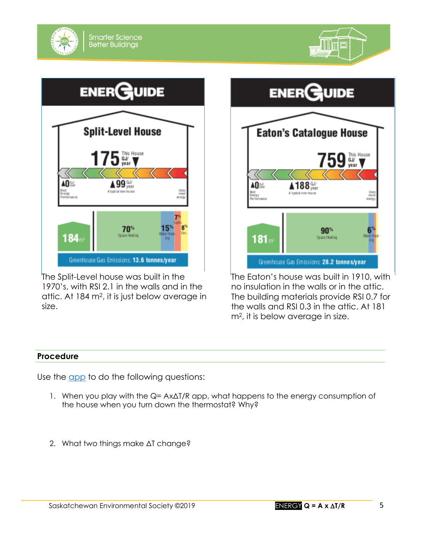

The Split-Level house was built in the 1970's, with RSI 2.1 in the walls and in the attic. At 184 m2, it is just below average in size.



The Eaton's house was built in 1910, with no insulation in the walls or in the attic. The building materials provide RSI 0.7 for the walls and RSI 0.3 in the attic. At 181 m2, it is below average in size.

#### **Procedure**

Use the [app](http://environmentalsociety.ca/smarterscience2018/index2.html) to do the following questions:

- 1. When you play with the Q= AxΔT/R app, what happens to the energy consumption of the house when you turn down the thermostat? Why?
- 2. What two things make ΔT change?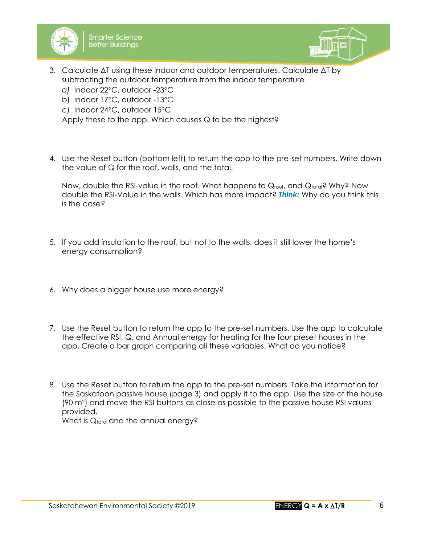



- 3. Calculate ΔT using these indoor and outdoor temperatures. Calculate ΔT by subtracting the outdoor temperature from the indoor temperature.
	- a) Indoor 22°C, outdoor -23°C
	- b) Indoor 17°C, outdoor -13°C
	- c) Indoor 24°C, outdoor 15°C

Apply these to the app. Which causes Q to be the highest?

4. Use the Reset button (bottom left) to return the app to the pre-set numbers. Write down the value of Q for the roof, walls, and the total.

Now, double the RSI-value in the roof. What happens to Qroot, and Qtotal? Why? Now double the RSI-Value in the walls. Which has more impact? *Think:* Why do you think this is the case?

- 5. If you add insulation to the roof, but not to the walls, does it still lower the home's energy consumption?
- 6. Why does a bigger house use more energy?
- 7. Use the Reset button to return the app to the pre-set numbers. Use the app to calculate the effective RSI, Q, and Annual energy for heating for the four preset houses in the app. Create a bar graph comparing all these variables. What do you notice?
- 8. Use the Reset button to return the app to the pre-set numbers. Take the information for the Saskatoon passive house (page 3) and apply it to the app. Use the size of the house (90 m2) and move the RSI buttons as close as possible to the passive house RSI values provided. What is Qtotal and the annual energy?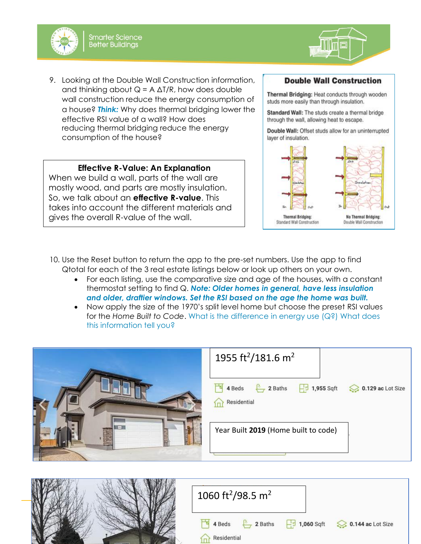



9. Looking at the Double Wall Construction information, and thinking about  $Q = A \Delta T/R$ , how does double wall construction reduce the energy consumption of a house? *Think:* Why does thermal bridging lower the effective RSI value of a wall? How does reducing thermal bridging reduce the energy consumption of the house?

#### **Effective R-Value: An Explanation**

When we build a wall, parts of the wall are mostly wood, and parts are mostly insulation. So, we talk about an **effective R-value**. This takes into account the different materials and gives the overall R-value of the wall.

#### **Double Wall Construction**

Thermal Bridging: Heat conducts through wooden studs more easily than through insulation.

Standard Wall: The studs create a thermal bridge through the wall, allowing heat to escape.

Double Wall: Offset studs allow for an uninterrupted layer of insulation.



- 10. Use the Reset button to return the app to the pre-set numbers. Use the app to find Qtotal for each of the 3 real estate listings below or look up others on your own.
	- For each listing, use the comparative size and age of the houses, with a constant thermostat setting to find Q. *Note: Older homes in general, have less insulation and older, draftier windows. Set the RSI based on the age the home was built.*
	- Now apply the size of the 1970's split level home but choose the preset RSI values for the *Home Built to Code*. What is the difference in energy use (Q?) What does this information tell you?



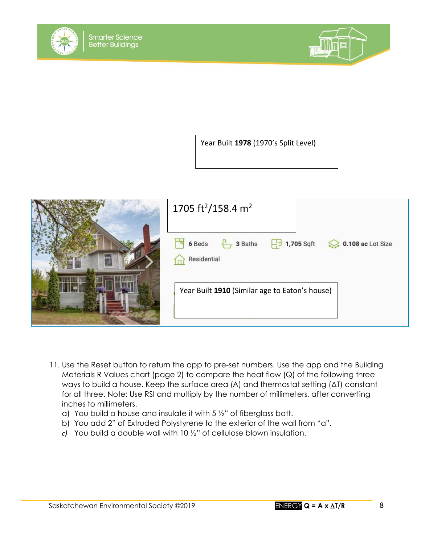



Year Built **1978** (1970's Split Level)



- 11. Use the Reset button to return the app to pre-set numbers. Use the app and the Building Materials R Values chart (page 2) to compare the heat flow (Q) of the following three ways to build a house. Keep the surface area (A) and thermostat setting (ΔT) constant for all three. Note: Use RSI and multiply by the number of millimeters, after converting inches to millimeters.
	- a) You build a house and insulate it with 5 ½" of fiberglass batt.
	- b) You add 2" of Extruded Polystyrene to the exterior of the wall from "a".
	- *c)* You build a double wall with 10 ½" of cellulose blown insulation.